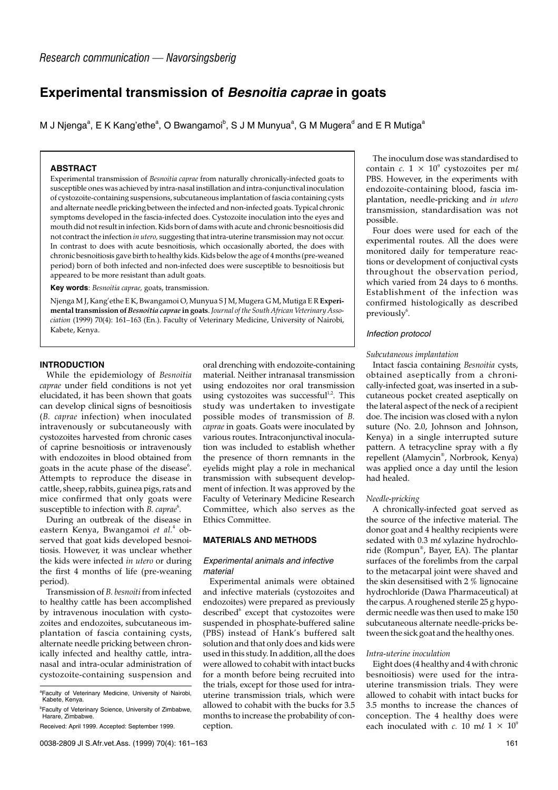# **Experimental transmission of Besnoitia caprae in goats**

M J Njenga $\mathrm{^a, E}$  K Kang'ethe $\mathrm{^a, O}$  Bwangamoi $\mathrm{^b, S}$  J M Munyua $\mathrm{^a, G}$  M Mugera $\mathrm{^d}$  and E R Mutiga $\mathrm{^a}$ 

# **ABSTRACT**

Experimental transmission of *Besnoitia caprae* from naturally chronically-infected goats to susceptible ones was achieved by intra-nasal instillation and intra-conjunctival inoculation of cystozoite-containing suspensions, subcutaneous implantation of fascia containing cysts and alternate needle pricking between the infected and non-infected goats. Typical chronic symptoms developed in the fascia-infected does. Cystozoite inoculation into the eyes and mouth did not result in infection. Kids born of dams with acute and chronic besnoitiosis did not contract the infection *in utero,* suggesting that intra-uterine transmission may not occur. In contrast to does with acute besnoitiosis, which occasionally aborted, the does with chronic besnoitiosis gave birth to healthy kids. Kids below the age of 4 months (pre-weaned period) born of both infected and non-infected does were susceptible to besnoitiosis but appeared to be more resistant than adult goats.

**Key words**: *Besnoitia caprae,* goats, transmission.

Njenga M J, Kang'ethe E K, Bwangamoi O, Munyua S J M, Mugera G M, Mutiga E R **Experimental transmission of** *Besnoitia caprae* **in goats**. *Journal of the South African Veterinary Association* (1999) 70(4): 161–163 (En.). Faculty of Veterinary Medicine, University of Nairobi, Kabete, Kenya.

# **INTRODUCTION**

While the epidemiology of *Besnoitia caprae* under field conditions is not yet elucidated, it has been shown that goats can develop clinical signs of besnoitiosis (*B. caprae* infection) when inoculated intravenously or subcutaneously with cystozoites harvested from chronic cases of caprine besnoitiosis or intravenously with endozoites in blood obtained from goats in the acute phase of the disease<sup>6</sup>. Attempts to reproduce the disease in cattle, sheep, rabbits, guinea pigs, rats and mice confirmed that only goats were susceptible to infection with *B. caprae*<sup>6</sup>.

During an outbreak of the disease in eastern Kenya, Bwangamoi *et al.*<sup>4</sup> observed that goat kids developed besnoitiosis. However, it was unclear whether the kids were infected *in utero* or during the first 4 months of life (pre-weaning period).

Transmission of *B. besnoiti* from infected to healthy cattle has been accomplished by intravenous inoculation with cystozoites and endozoites, subcutaneous implantation of fascia containing cysts, alternate needle pricking between chronically infected and healthy cattle, intranasal and intra-ocular administration of cystozoite-containing suspension and

oral drenching with endozoite-containing material. Neither intranasal transmission using endozoites nor oral transmission using cystozoites was successful<sup>1,2</sup>. This study was undertaken to investigate possible modes of transmission of *B. caprae* in goats. Goats were inoculated by various routes. Intraconjunctival inoculation was included to establish whether the presence of thorn remnants in the eyelids might play a role in mechanical transmission with subsequent development of infection. It was approved by the Faculty of Veterinary Medicine Research Committee, which also serves as the Ethics Committee.

# **MATERIALS AND METHODS**

#### Experimental animals and infective material

Experimental animals were obtained and infective materials (cystozoites and endozoites) were prepared as previously described<sup>6</sup> except that cystozoites were suspended in phosphate-buffered saline (PBS) instead of Hank's buffered salt solution and that only does and kids were used in this study. In addition, all the does were allowed to cohabit with intact bucks for a month before being recruited into the trials, except for those used for intrauterine transmission trials, which were allowed to cohabit with the bucks for 3.5 months to increase the probability of conception.

The inoculum dose was standardised to contain *c*.  $1 \times 10^9$  cystozoites per ml PBS. However, in the experiments with endozoite-containing blood, fascia implantation, needle-pricking and *in utero* transmission, standardisation was not possible.

Four does were used for each of the experimental routes. All the does were monitored daily for temperature reactions or development of conjuctival cysts throughout the observation period, which varied from 24 days to 6 months. Establishment of the infection was confirmed histologically as described previously $6$ .

#### Infection protocol

#### *Subcutaneous implantation*

Intact fascia containing *Besnoitia* cysts, obtained aseptically from a chronically-infected goat, was inserted in a subcutaneous pocket created aseptically on the lateral aspect of the neck of a recipient doe. The incision was closed with a nylon suture (No. 2.0, Johnson and Johnson, Kenya) in a single interrupted suture pattern. A tetracycline spray with a fly repellent (Alamycin® , Norbrook, Kenya) was applied once a day until the lesion had healed.

#### *Needle-pricking*

A chronically-infected goat served as the source of the infective material. The donor goat and 4 healthy recipients were sedated with  $0.3$  m $\ell$  xylazine hydrochloride (Rompun® , Bayer, EA). The plantar surfaces of the forelimbs from the carpal to the metacarpal joint were shaved and the skin desensitised with 2 % lignocaine hydrochloride (Dawa Pharmaceutical) at the carpus. A roughened sterile 25 g hypodermic needle was then used to make 150 subcutaneous alternate needle-pricks between the sick goat and the healthy ones.

#### *Intra-uterine inoculation*

Eight does (4 healthy and 4 with chronic besnoitiosis) were used for the intrauterine transmission trials. They were allowed to cohabit with intact bucks for 3.5 months to increase the chances of conception. The 4 healthy does were each inoculated with *c*. 10 m $\ell$  1 × 10<sup>9</sup>

<sup>&</sup>lt;sup>a</sup>Faculty of Veterinary Medicine, University of Nairobi, Kabete, Kenya.

<sup>&</sup>lt;sup>b</sup>Faculty of Veterinary Science, University of Zimbabwe, Harare, Zimbabwe.

Received: April 1999. Accepted: September 1999.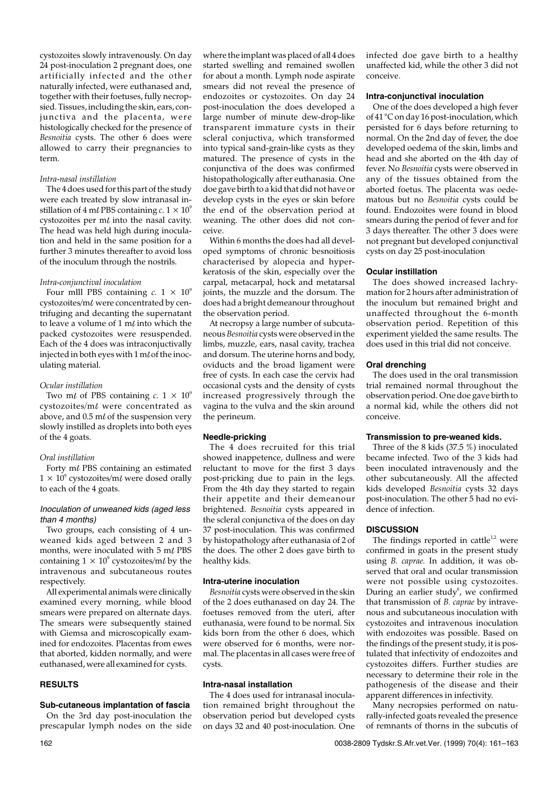cystozoites slowly intravenously. On day 24 post-inoculation 2 pregnant does, one artificially infected and the other naturally infected, were euthanased and, together with their foetuses, fully necropsied. Tissues, including the skin, ears, conjunctiva and the placenta, were histologically checked for the presence of *Besnoitia* cysts. The other 6 does were allowed to carry their pregnancies to term.

# *Intra-nasal instillation*

The 4 does used for this part of the study were each treated by slow intranasal instillation of 4 m $\ell$  PBS containing  $c$ .  $1 \times 10^9$ cystozoites per  $m\ell$  into the nasal cavity. The head was held high during inoculation and held in the same position for a further 3 minutes thereafter to avoid loss of the inoculum through the nostrils.

#### *Intra-conjunctival inoculation*

Four mlll PBS containing  $c. 1 \times 10^9$ cystozoites/ml were concentrated by centrifuging and decanting the supernatant to leave a volume of 1  $m\ell$  into which the packed cystozoites were resuspended. Each of the 4 does was intraconjuctivally injected in both eyes with  $1 \text{ m} \ell$  of the inoculating material.

#### *Ocular instillation*

Two m $\ell$  of PBS containing  $c. 1 \times 10^9$ cystozoites/ $m\ell$  were concentrated as above, and  $0.5$  m $\ell$  of the suspension very slowly instilled as droplets into both eyes of the 4 goats.

#### *Oral instillation*

Forty  $m\ell$  PBS containing an estimated  $1 \times 10^9$  cystozoites/ml were dosed orally to each of the 4 goats.

## Inoculation of unweaned kids (aged less than 4 months)

Two groups, each consisting of 4 unweaned kids aged between 2 and 3 months, were inoculated with  $5 \text{ m} \ell$  PBS containing  $1 \times 10^9$  cystozoites/ml by the intravenous and subcutaneous routes respectively.

All experimental animals were clinically examined every morning, while blood smears were prepared on alternate days. The smears were subsequently stained with Giemsa and microscopically examined for endozoites. Placentas from ewes that aborted, kidden normally, and were euthanased, were all examined for cysts.

#### **RESULTS**

#### **Sub-cutaneous implantation of fascia**

On the 3rd day post-inoculation the prescapular lymph nodes on the side where the implant was placed of all 4 does started swelling and remained swollen for about a month. Lymph node aspirate smears did not reveal the presence of endozoites or cystozoites. On day 24 post-inoculation the does developed a large number of minute dew-drop-like transparent immature cysts in their scleral conjuctiva, which transformed into typical sand-grain-like cysts as they matured. The presence of cysts in the conjunctiva of the does was confirmed histopathologically after euthanasia. One doe gave birth to a kid that did not have or develop cysts in the eyes or skin before the end of the observation period at weaning. The other does did not conceive.

Within 6 months the does had all developed symptoms of chronic besnoitiosis characterised by alopecia and hyperkeratosis of the skin, especially over the carpal, metacarpal, hock and metatarsal joints, the muzzle and the dorsum. The does had a bright demeanour throughout the observation period.

At necropsy a large number of subcutaneous *Besnoitia* cysts were observed in the limbs, muzzle, ears, nasal cavity, trachea and dorsum. The uterine horns and body, oviducts and the broad ligament were free of cysts. In each case the cervix had occasional cysts and the density of cysts increased progressively through the vagina to the vulva and the skin around the perineum.

#### **Needle-pricking**

The 4 does recruited for this trial showed inappetence, dullness and were reluctant to move for the first 3 days post-pricking due to pain in the legs. From the 4th day they started to regain their appetite and their demeanour brightened. *Besnoitia* cysts appeared in the scleral conjunctiva of the does on day 37 post-inoculation. This was confirmed by histopathology after euthanasia of 2 of the does. The other 2 does gave birth to healthy kids.

#### **Intra-uterine inoculation**

*Besnoitia* cysts were observed in the skin of the 2 does euthanased on day 24. The foetuses removed from the uteri, after euthanasia, were found to be normal. Six kids born from the other 6 does, which were observed for 6 months, were normal. The placentas in all cases were free of cysts.

#### **Intra-nasal installation**

The 4 does used for intranasal inoculation remained bright throughout the observation period but developed cysts on days 32 and 40 post-inoculation. One infected doe gave birth to a healthy unaffected kid, while the other 3 did not conceive.

#### **Intra-conjunctival inoculation**

One of the does developed a high fever of 41 °C on day 16 post-inoculation, which persisted for 6 days before returning to normal. On the 2nd day of fever, the doe developed oedema of the skin, limbs and head and she aborted on the 4th day of fever. No *Besnoitia* cysts were observed in any of the tissues obtained from the aborted foetus. The placenta was oedematous but no *Besnoitia* cysts could be found. Endozoites were found in blood smears during the period of fever and for 3 days thereafter. The other 3 does were not pregnant but developed conjunctival cysts on day 25 post-inoculation

#### **Ocular instillation**

The does showed increased lachrymation for 2 hours after administration of the inoculum but remained bright and unaffected throughout the 6-month observation period. Repetition of this experiment yielded the same results. The does used in this trial did not conceive.

#### **Oral drenching**

The does used in the oral transmission trial remained normal throughout the observation period. One doe gave birth to a normal kid, while the others did not conceive.

#### **Transmission to pre-weaned kids.**

Three of the 8 kids (37.5 %) inoculated became infected. Two of the 3 kids had been inoculated intravenously and the other subcutaneously. All the affected kids developed *Besnoitia* cysts 32 days post-inoculation. The other 5 had no evidence of infection.

### **DISCUSSION**

The findings reported in cattle<sup>1,2</sup> were confirmed in goats in the present study using *B. caprae.* In addition, it was observed that oral and ocular transmission were not possible using cystozoites. During an earlier study<sup>6</sup>, we confirmed that transmission of *B. caprae* by intravenous and subcutaneous inoculation with cystozoites and intravenous inoculation with endozoites was possible. Based on the findings of the present study, it is postulated that infectivity of endozoites and cystozoites differs. Further studies are necessary to determine their role in the pathogenesis of the disease and their apparent differences in infectivity.

Many necropsies performed on naturally-infected goats revealed the presence of remnants of thorns in the subcutis of